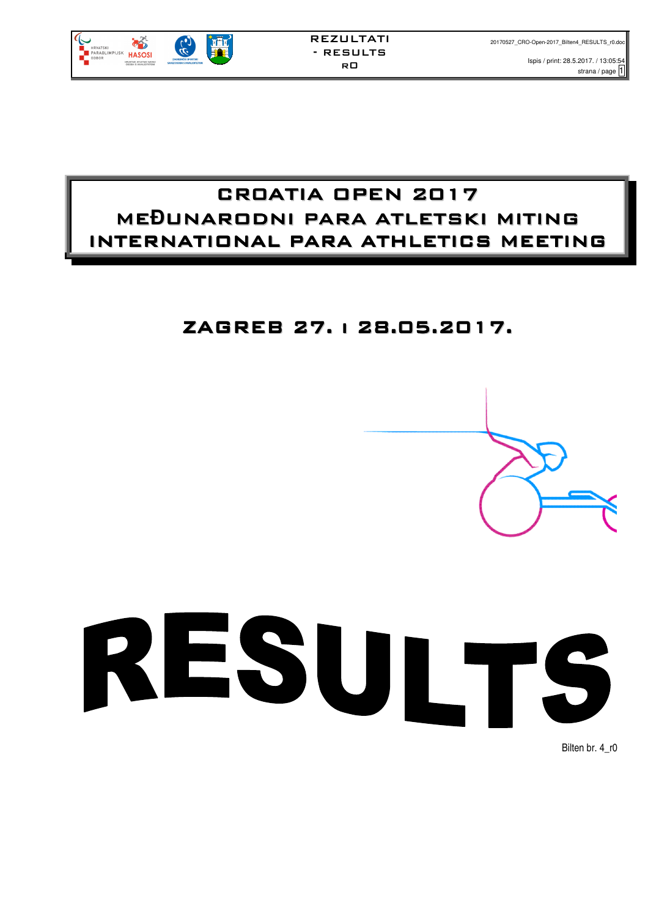

Ispis / print: 28.5.2017. / 13:05:54 strana / page  $\overline{1}$ 

## CR0ATIA OPEN 2017 ME**Đ**UNARODNI PARA ATLETSKI MITING INTERNATIONAL PARA ATHLETICS MEETING

## ZAGREB 27. i 28.05.2017.





Bilten br. 4\_r0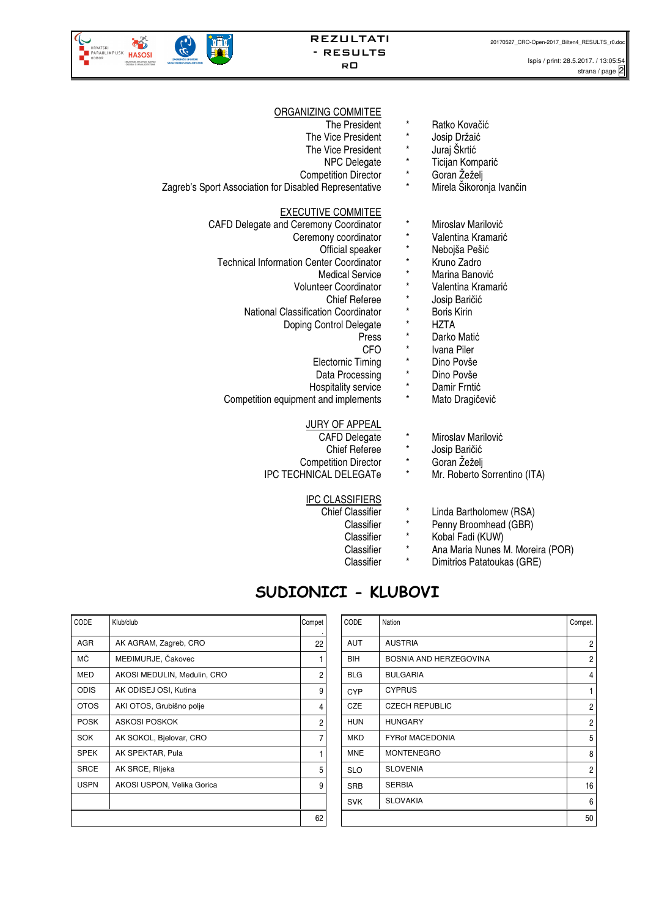

### REZULTATI - RESULTS r0

### ORGANIZING COMMITEE

| The President                                          | $^\star$   | Ratko Kovačić                |
|--------------------------------------------------------|------------|------------------------------|
| The Vice President                                     |            | Josip Držaić                 |
| The Vice President                                     | $^\star$   | Juraj Škrtić                 |
| NPC Delegate                                           | $\star$    | Ticijan Komparić             |
| <b>Competition Director</b>                            | $\star$    | Goran Žeželj                 |
| Zagreb's Sport Association for Disabled Representative | $^\star$   | Mirela Šikoronja Ivančin     |
| <b>EXECUTIVE COMMITEE</b>                              |            |                              |
| CAFD Delegate and Ceremony Coordinator                 | $^\star$   | Miroslav Marilović           |
| Ceremony coordinator                                   | $^\star$   | Valentina Kramarić           |
| Official speaker                                       | $^\star$   | Nebojša Pešić                |
| <b>Technical Information Center Coordinator</b>        | $^\star$   | Kruno Zadro                  |
| <b>Medical Service</b>                                 | $\star$    | Marina Banović               |
| <b>Volunteer Coordinator</b>                           | $\star$    | Valentina Kramarić           |
| <b>Chief Referee</b>                                   | *          | Josip Baričić                |
| <b>National Classification Coordinator</b>             | $^\star$   | <b>Boris Kirin</b>           |
| Doping Control Delegate                                | $^\star$   | HZTA                         |
| Press                                                  | *          | Darko Matić                  |
| <b>CFO</b>                                             | $^\star$   | Ivana Piler                  |
| <b>Electornic Timing</b>                               | $^\star$   | Dino Povše                   |
| Data Processing                                        | *          | Dino Povše                   |
| Hospitality service                                    | *          | Damir Frntić                 |
| Competition equipment and implements                   | $^\star$   | Mato Dragičević              |
| JURY OF APPEAL                                         |            |                              |
| <b>CAFD Delegate</b>                                   | $^{\star}$ | Miroslav Marilović           |
| <b>Chief Referee</b>                                   | $^{\star}$ | Josip Baričić                |
| <b>Competition Director</b>                            | $^{\star}$ | Goran Žeželj                 |
| IPC TECHNICAL DELEGATe                                 | $^\star$   | Mr. Roberto Sorrentino (ITA) |
| <b>IPC CLASSIFIERS</b>                                 |            |                              |
| <b>Chief Classifier</b>                                | $^\star$   | Linda Bartholomew (RSA)      |
| Classifier                                             | $^\star$   | Penny Broomhead (GBR)        |
|                                                        |            |                              |

## Classifier \* Kobal Fadi (KUW)<br>Classifier \* Ana Maria Nunes N

- Classifier \* Ana Maria Nunes M. Moreira (POR)
- Classifier \* Dimitrios Patatoukas (GRE)

## **SUDIONICI - KLUBOVI**

| CODE        | Klub/club                   | Compet |
|-------------|-----------------------------|--------|
| <b>AGR</b>  | AK AGRAM, Zagreb, CRO       | 22     |
| МČ          | MEĐIMURJE, Čakovec          | 1      |
| MED         | AKOSI MEDULIN, Medulin, CRO | 2      |
| <b>ODIS</b> | AK ODISEJ OSI, Kutina       | 9      |
| <b>OTOS</b> | AKI OTOS, Grubišno polje    | 4      |
| <b>POSK</b> | ASKOSI POSKOK               | 2      |
| SOK         | AK SOKOL, Bielovar, CRO     | 7      |
| <b>SPEK</b> | AK SPEKTAR, Pula            | 1      |
| <b>SRCE</b> | AK SRCE, Rljeka             | 5      |
| <b>USPN</b> | AKOSI USPON, Velika Gorica  | 9      |
|             |                             |        |
|             |                             | 62     |

| <b>ODE</b>  | Klub/club                   | Compet | CODE       | Nation                 | Compet.        |
|-------------|-----------------------------|--------|------------|------------------------|----------------|
| AGR         | AK AGRAM, Zagreb, CRO       | 22     | <b>AUT</b> | <b>AUSTRIA</b>         | 2              |
| МČ          | MEĐIMURJE, Čakovec          |        | <b>BIH</b> | BOSNIA AND HERZEGOVINA | 2              |
| MED         | AKOSI MEDULIN, Medulin, CRO | 2      | <b>BLG</b> | <b>BULGARIA</b>        | 4              |
| <b>ODIS</b> | AK ODISEJ OSI, Kutina       | 9      | <b>CYP</b> | <b>CYPRUS</b>          |                |
| OTOS        | AKI OTOS, Grubišno polje    | 4      | <b>CZE</b> | <b>CZECH REPUBLIC</b>  | 2              |
| POSK        | ASKOSI POSKOK               | 2      | <b>HUN</b> | <b>HUNGARY</b>         | $\overline{2}$ |
| SOK         | AK SOKOL, Bjelovar, CRO     |        | <b>MKD</b> | <b>FYRof MACEDONIA</b> | 5              |
| SPEK        | AK SPEKTAR, Pula            |        | <b>MNE</b> | <b>MONTENEGRO</b>      | 8              |
| SRCE        | AK SRCE, Rljeka             | 5      | <b>SLO</b> | <b>SLOVENIA</b>        | $\overline{2}$ |
| USPN        | AKOSI USPON, Velika Gorica  | 9      | <b>SRB</b> | <b>SERBIA</b>          | 16             |
|             |                             |        | <b>SVK</b> | <b>SLOVAKIA</b>        | 6              |
|             |                             | 62     |            |                        | 50             |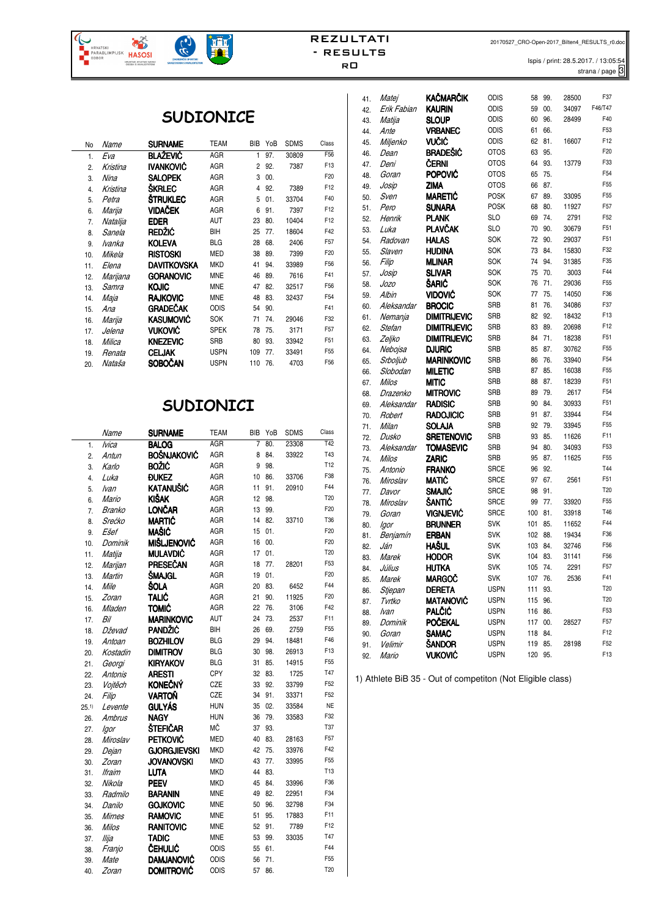Ispis / print: 28.5.2017. / 13:05:54 strana / page 3

## **SUDIONICE**

 $\left(\begin{matrix} 1 \\ 0 \\ 0 \end{matrix}\right)$ 

**HRVATSKI**<br>PARAOLIMPIJSKI **HASOSI** 

HRVATSKI ATLETSKI SAVEJ

| No  | Name          | SURNAME          | TEAM        | <b>BIB</b> | YoB | <b>SDMS</b> | Class           |
|-----|---------------|------------------|-------------|------------|-----|-------------|-----------------|
| 1.  | Eva           | <b>BLAŽEVIĆ</b>  | AGR         | 1          | 97. | 30809       | F56             |
| 2.  | Kristina      | IVANKOVIĆ        | AGR         | 2          | 92. | 7387        | F13             |
| 3.  | Nina          | <b>SALOPEK</b>   | AGR         | 3          | 00. |             | F20             |
| 4.  | Kristina      | ŠKRLEC           | AGR         | 4          | 92. | 7389        | F12             |
| 5.  | Petra         | <b>STRUKLEC</b>  | AGR         | 5          | 01. | 33704       | F40             |
| 6.  | Marija        | <b>VIDAČEK</b>   | AGR         | 6          | 91. | 7397        | F12             |
| 7.  | Natalija      | <b>EDER</b>      | AUT         | 23         | 80. | 10404       | F12             |
| 8.  | Sanela        | REDŽIĆ           | BIH         | 25         | 77. | 18604       | F42             |
| 9.  | <i>lvanka</i> | <b>KOLEVA</b>    | <b>BLG</b>  | 28         | 68. | 2406        | F57             |
| 10. | Mikela        | <b>RISTOSKI</b>  | <b>MED</b>  | 38         | 89. | 7399        | F20             |
| 11. | Elena         | DAVITKOVSKA      | <b>MKD</b>  | 41         | 94. | 33989       | F56             |
| 12. | Marijana      | <b>GORANOVIC</b> | <b>MNE</b>  | 46         | 89. | 7616        | F41             |
| 13. | Samra         | <b>KOJIC</b>     | <b>MNE</b>  | 47         | 82. | 32517       | F56             |
| 14. | Maja          | <b>RAJKOVIC</b>  | <b>MNE</b>  | 48         | 83. | 32437       | F <sub>54</sub> |
| 15. | Ana           | <b>GRADEČAK</b>  | <b>ODIS</b> | 54         | 90. |             | F41             |
| 16. | Marija        | <b>KASUMOVIĆ</b> | SOK         | 71         | 74. | 29046       | F32             |
| 17. | Jelena        | VUKOVIĆ          | <b>SPEK</b> | 78         | 75. | 3171        | F <sub>57</sub> |
| 18. | Milica        | <b>KNEZEVIC</b>  | SRB         | 80         | 93. | 33942       | F51             |
| 19. | Renata        | <b>CELJAK</b>    | <b>USPN</b> | 109        | 77. | 33491       | F <sub>55</sub> |
| 20. | Nataša        | <b>SOBOČAN</b>   | <b>USPN</b> | 110        | 76. | 4703        | F56             |
|     |               |                  |             |            |     |             |                 |

### **SUDIONICI**

|                  | Name          | <b>SURNAME</b>             | <b>TEAM</b> | <b>BIB</b> | YoB | <b>SDMS</b> | Class           |
|------------------|---------------|----------------------------|-------------|------------|-----|-------------|-----------------|
| 1.               | <b>Ivica</b>  | <b>BALOG</b>               | <b>AGR</b>  | 7          | 80. | 23308       | T42             |
| $\overline{2}$ . | Antun         | <b>BOŠNJAKOVIĆ</b>         | AGR         | 8          | 84. | 33922       | <b>T43</b>      |
| 3.               | Karlo         | <b>BOŽIĆ</b>               | AGR         | 9          | 98. |             | T <sub>12</sub> |
| 4.               | Luka          | <b><i><u>DUKEZ</u></i></b> | AGR         | 10         | 86. | 33706       | F38             |
| 5.               | lvan          | KATANUŠIĆ                  | AGR         | 11         | 91. | 20910       | F44             |
| 6.               | Mario         | <b>KIŠAK</b>               | AGR         | 12         | 98. |             | T <sub>20</sub> |
| 7.               | Branko        | <b>LONČAR</b>              | AGR         | 13         | 99. |             | F <sub>20</sub> |
| 8.               | Srećko        | <b>MARTIĆ</b>              | AGR         | 14         | 82. | 33710       | T36             |
| 9.               | Ešef          | <b>MAŠIĆ</b>               | AGR         | 15         | 01. |             | F <sub>20</sub> |
| 10.              | Dominik       | <b>MIŠLJENOVIĆ</b>         | AGR         | 16         | 00. |             | F <sub>20</sub> |
| 11.              | Matija        | <b>MULAVDIĆ</b>            | AGR         | 17         | 01. |             | T <sub>20</sub> |
| 12.              | Marijan       | PRESEČAN                   | AGR         | 18         | 77. | 28201       | F53             |
| 13.              | Martin        | ŠMAJGL                     | AGR         | 19         | 01. |             | F <sub>20</sub> |
| 14.              | Mile          | ŠOLA                       | AGR         | 20         | 83. | 6452        | F44             |
| 15.              | Zoran         | TALIĆ                      | AGR         | 21         | 90. | 11925       | F <sub>20</sub> |
| 16.              | Mladen        | <b>TOMIĆ</b>               | AGR         | 22         | 76. | 3106        | F42             |
| 17.              | Bil           | <b>MARINKOVIC</b>          | <b>AUT</b>  | 24         | 73. | 2537        | F11             |
| 18.              | Dževad        | <b>PANDŽIĆ</b>             | BIH         | 26         | 69. | 2759        | F <sub>55</sub> |
| 19.              | Antoan        | <b>BOZHILOV</b>            | <b>BLG</b>  | 29         | 94. | 18481       | F46             |
| 20.              | Kostadin      | <b>DIMITROV</b>            | <b>BLG</b>  | 30         | 98. | 26913       | F <sub>13</sub> |
| 21.              | Georgi        | <b>KIRYAKOV</b>            | <b>BLG</b>  | 31         | 85. | 14915       | F <sub>55</sub> |
| 22.              | Antonis       | <b>ARESTI</b>              | CPY         | 32         | 83. | 1725        | <b>T47</b>      |
| 23.              | Vojtěch       | <b>KONEČNÝ</b>             | CZE         | 33         | 92. | 33799       | F52             |
| 24.              | Filip         | VARTOŇ                     | CZE         | 34         | 91. | 33371       | F <sub>52</sub> |
| 25.1             | Levente       | GULYÁS                     | <b>HUN</b>  | 35         | 02. | 33584       | <b>NE</b>       |
| 26.              | <b>Ambrus</b> | <b>NAGY</b>                | <b>HUN</b>  | 36         | 79. | 33583       | F32             |
| 27.              | lgor          | ŠTEFIČAR                   | MČ          | 37         | 93. |             | T37             |
| 28.              | Miroslav      | <b>PETKOVIĆ</b>            | <b>MED</b>  | 40         | 83. | 28163       | F57             |
| 29.              | Dejan         | <b>GJORGJIEVSKI</b>        | <b>MKD</b>  | 42         | 75. | 33976       | F42             |
| 30.              | Zoran         | <b>JOVANOVSKI</b>          | <b>MKD</b>  | 43         | 77. | 33995       | F55             |
| 31.              | <b>Ifraim</b> | <b>LUTA</b>                | <b>MKD</b>  | 44         | 83. |             | T13             |
| 32.              | Nikola        | <b>PEEV</b>                | <b>MKD</b>  | 45         | 84. | 33996       | F36             |
| 33.              | Radmilo       | <b>BARANIN</b>             | <b>MNE</b>  | 49         | 82. | 22951       | F34             |
| 34.              | Danilo        | <b>GOJKOVIC</b>            | <b>MNE</b>  | 50         | 96. | 32798       | F34             |
| 35.              | <b>Mirnes</b> | <b>RAMOVIC</b>             | <b>MNE</b>  | 51         | 95. | 17883       | F11             |
| 36.              | <b>Milos</b>  | <b>RANITOVIC</b>           | <b>MNE</b>  | 52         | 91. | 7789        | F12             |
| 37.              | Ilija         | <b>TADIC</b>               | <b>MNE</b>  | 53         | 99. | 33035       | T47             |
| 38.              | Franjo        | ČEHULIĆ                    | <b>ODIS</b> | 55         | 61. |             | F44             |
| 39.              | Mate          | <b>DAMJANOVIĆ</b>          | ODIS        | 56         | 71. |             | F55             |
| 40.              | Zoran         | <b>DOMITROVIĆ</b>          | ODIS        | 57         | 86. |             | T <sub>20</sub> |

| 41. | Matej             | <b>KAČMARČIK</b>                  | <b>ODIS</b>              | 58             | 99.        | 28500         | F37             |
|-----|-------------------|-----------------------------------|--------------------------|----------------|------------|---------------|-----------------|
| 42. | Erik Fabian       | <b>KAURIN</b>                     | <b>ODIS</b>              | 59             | 00.        | 34097         | F46/T47         |
| 43. | Matija            | <b>SLOUP</b>                      | <b>ODIS</b>              | 60             | 96.        | 28499         | F40             |
| 44. | Ante              | <b>VRBANEC</b>                    | ODIS                     | 61             | 66.        |               | F53             |
| 45. | Miljenko          | VUČIĆ                             | <b>ODIS</b>              | 62             | 81.        | 16607         | F12             |
| 46. | Dean              | <b>BRADEŠIĆ</b>                   | <b>OTOS</b>              | 63             | 95.        |               | F <sub>20</sub> |
| 47. | Deni              | ČERNI                             | <b>OTOS</b>              | 64             | 93.        | 13779         | F33             |
| 48. | Goran             | <b>POPOVIĆ</b>                    | <b>OTOS</b>              | 65             | 75.        |               | F54             |
| 49. | Josip             | <b>ZIMA</b>                       | <b>OTOS</b>              | 66             | 87.        |               | F <sub>55</sub> |
| 50. | Sven              | <b>MARETIĆ</b>                    | <b>POSK</b>              | 67             | 89.        | 33095         | F <sub>55</sub> |
| 51. | Pero              | <b>SUNARA</b>                     | <b>POSK</b>              | 68             | 80.        | 11927         | F <sub>57</sub> |
| 52. | Henrik            | <b>PLANK</b>                      | <b>SLO</b>               | 69             | 74.        | 2791          | F <sub>52</sub> |
| 53. | Luka              | <b>PLAVČAK</b>                    | SLO                      | 70             | 90.        | 30679         | F51             |
| 54. | Radovan           | <b>HALAS</b>                      | SOK                      | 72             | 90.        | 29037         | F51             |
| 55. | Slaven            | <b>HUDINA</b>                     | SOK                      | 73             | 84.        | 15830         | F32             |
| 56. | Filip             | <b>MLINAR</b>                     | SOK                      | 74             | 94.        | 31385         | F35             |
| 57. | Josip             | <b>SLIVAR</b>                     | SOK                      | 75             | 70.        | 3003          | F44             |
| 58. | Jozo              | ŠARIĆ                             | SOK                      | 76             | 71.        | 29036         | F <sub>55</sub> |
| 59. | Albin             | VIDOVIĆ                           | SOK                      | 77             | 75.        | 14050         | F36             |
| 60. | Aleksandar        | <b>BROCIC</b>                     | SRB                      | 81             | 76.        | 34086         | F37             |
| 61. | Nemanja           | <b>DIMITRIJEVIC</b>               | <b>SRB</b>               | 82             | 92.        | 18432         | F13             |
| 62. | Stefan            | <b>DIMITRIJEVIC</b>               | SRB                      | 83             | 89.        | 20698         | F12             |
| 63. | Zeljko            | <b>DIMITRIJEVIC</b>               | <b>SRB</b>               | 84             | 71.        | 18238         | F51             |
| 64. | Nebojsa           | <b>DJURIC</b>                     | <b>SRB</b>               | 85             | 87.        | 30762         | F <sub>55</sub> |
| 65. | Srboljub          | <b>MARINKOVIC</b>                 | SRB                      | 86             | 76.        | 33940         | F <sub>54</sub> |
| 66. | Slobodan          | <b>MILETIC</b>                    | SRB                      | 87             | 85.        | 16038         | F <sub>55</sub> |
| 67. | <b>Milos</b>      | <b>MITIC</b>                      | <b>SRB</b>               | 88             | 87.        | 18239         | F51             |
| 68. | Drazenko          | <b>MITROVIC</b>                   | SRB                      | 89             | 79.        | 2617          | F <sub>54</sub> |
| 69. | Aleksandar        | <b>RADISIC</b>                    | SRB                      | 90             | 84.        | 30933         | F51             |
| 70. | Robert            | <b>RADOJICIC</b>                  | <b>SRB</b>               | 91             | 87.        | 33944         | F54             |
| 71. | Milan             | <b>SOLAJA</b>                     | SRB                      | 92             | 79.        | 33945         | F <sub>55</sub> |
| 72. | Dusko             | <b>SRETENOVIC</b>                 | SRB                      | 93             | 85.        | 11626         | F11             |
| 73. | Aleksandar        | <b>TOMASEVIC</b>                  | <b>SRB</b>               | 94             | 80.        | 34093         | F53             |
| 74. | Milos             | <b>ZARIC</b>                      | SRB                      | 95             | 87.        | 11625         | F <sub>55</sub> |
| 75. | Antonio           | <b>FRANKO</b>                     | SRCE                     | 96             | 92.        |               | T44             |
| 76. | Miroslav          | <b>MATIĆ</b>                      | <b>SRCE</b>              | 97             | 67.        | 2561          | F51             |
| 77. | Davor             | <b>SMAJIĆ</b>                     | <b>SRCE</b>              | 98             | 91.        |               | T20             |
| 78. | Miroslav          | ŠANTIĆ                            | <b>SRCE</b>              | 99             | 77.        | 33920         | F <sub>55</sub> |
| 79. | Goran             | <b>VIGNJEVIĆ</b>                  | <b>SRCE</b>              | 100            | 81.        | 33918         | T46<br>F44      |
| 80. | lgor              | <b>BRUNNER</b>                    | <b>SVK</b>               | 101            | 85.        | 11652         |                 |
| 81. | Benjamín          | <b>ERBAN</b>                      | <b>SVK</b>               | 102            | 88.        | 19434         | F36             |
| 82. | Ján               | <b>HAŠUL</b>                      | <b>SVK</b>               | 103            | 84.        | 32746         | F56<br>F56      |
| 83. | Marek             | <b>HODOR</b>                      | <b>SVK</b><br><b>SVK</b> | 104            | 83.<br>74. | 31141<br>2291 | F <sub>57</sub> |
| 84. | Július            | <b>HUTKA</b>                      | <b>SVK</b>               | 105<br>107 76. |            |               | F41             |
| 85. | Marek             | MARGOČ                            |                          |                |            | 2536          | T20             |
| 86. | Stjepan<br>Tvrtko | <b>DERETA</b>                     | uspn<br><b>USPN</b>      | 111<br>115     | 93.<br>96. |               | T20             |
| 87. |                   | <b>MATANOVIĆ</b><br><b>PALČIĆ</b> | <b>USPN</b>              | 116            | 86.        |               | F53             |
| 88. | lvan              | <b>POČEKAL</b>                    | <b>USPN</b>              | 117            | 00.        | 28527         | F57             |
| 89. | Dominik<br>Goran  | <b>SAMAC</b>                      | <b>USPN</b>              | 118            | 84.        |               | F12             |
| 90. | Velimir           | ŠANDOR                            | USPN                     | 119            | 85.        | 28198         | F52             |
| 91. | Mario             | <b>VUKOVIĆ</b>                    | <b>USPN</b>              | 120            | 95.        |               | F13             |
| 92. |                   |                                   |                          |                |            |               |                 |

1) Athlete BiB 35 - Out of competiton (Not Eligible class)

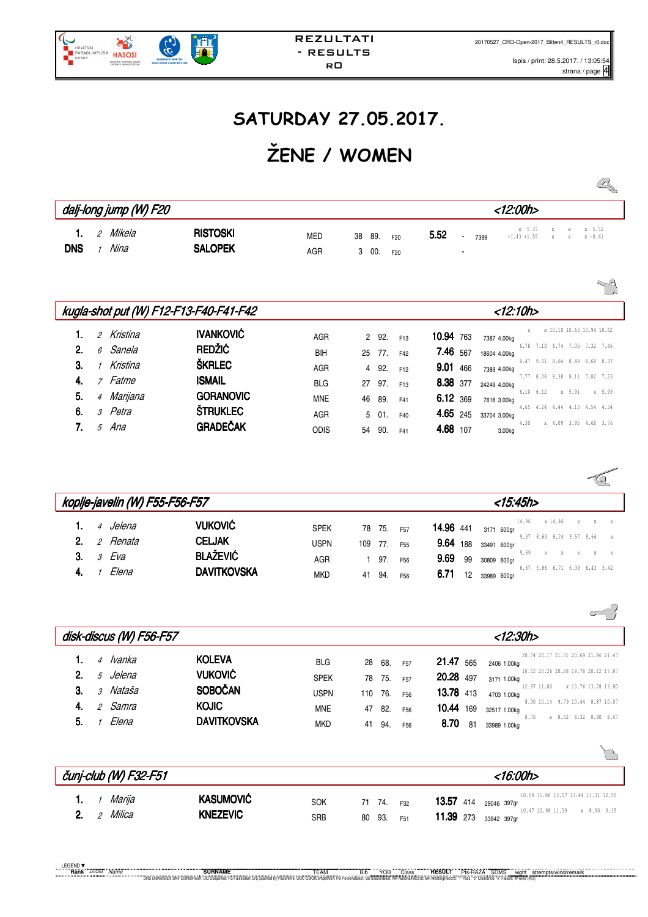$\sqrt{a}$ 

 $\approx$ ?

M

# **SATURDAY 27.05.2017.**

# **ŽENE / WOMEN**

|                                      |                                   |                   |                                                         |      |                |                           |  | $\begin{picture}(120,15) \put(0,0){\line(1,0){155}} \put(15,0){\line(1,0){155}} \put(15,0){\line(1,0){155}} \put(15,0){\line(1,0){155}} \put(15,0){\line(1,0){155}} \put(15,0){\line(1,0){155}} \put(15,0){\line(1,0){155}} \put(15,0){\line(1,0){155}} \put(15,0){\line(1,0){155}} \put(15,0){\line(1,0){155}} \put(15,0){\line(1,0){155}}$ |
|--------------------------------------|-----------------------------------|-------------------|---------------------------------------------------------|------|----------------|---------------------------|--|----------------------------------------------------------------------------------------------------------------------------------------------------------------------------------------------------------------------------------------------------------------------------------------------------------------------------------------------|
| dalj-long jump (W) F20               |                                   |                   |                                                         |      |                | <12:00h>                  |  |                                                                                                                                                                                                                                                                                                                                              |
| 2 Mikela<br>1.<br><b>DNS</b><br>Nina | <b>RISTOSKI</b><br><b>SALOPEK</b> | <b>MED</b><br>AGR | 89.<br>38<br>F <sub>20</sub><br>300.<br>F <sub>20</sub> | 5.52 | 7399<br>$\sim$ | $+1.43 +1.55$ x x x -0.61 |  | x 5.37 x x x 5.52                                                                                                                                                                                                                                                                                                                            |

|    |                |                    |                                        |             |                |        |                 |            |              |                   |  |                               | $\sim$ |
|----|----------------|--------------------|----------------------------------------|-------------|----------------|--------|-----------------|------------|--------------|-------------------|--|-------------------------------|--------|
|    |                |                    | kugla-shot put (W) F12-F13-F40-F41-F42 |             |                |        |                 |            | $<$ 12:10h>  |                   |  |                               |        |
|    |                | 2 Kristina         | <b>IVANKOVIĆ</b>                       | AGR         |                | 2 92.  | F <sub>13</sub> | 10.94 763  | 7387 4.00kg  |                   |  | x 10.10 10.63 10.94 10.62     |        |
| 2. | $\epsilon$     | Sanela             | <b>REDŽIĆ</b>                          | <b>BIH</b>  |                | 25 77. | F42             | 7.46 567   | 18604 4.00kg |                   |  | 6.78 7.10 6.74 7.05 7.32 7.46 |        |
| 3. |                | Kristina           | <b>ŠKRLEC</b>                          | AGR         | $\overline{4}$ | 92.    | F <sub>12</sub> | $9.01$ 466 | 7389 4.00kg  |                   |  | 8.47 9.01 8.64 8.49 8.68 8.37 |        |
| 4. |                | 7 Fatme            | <b>ISMAIL</b>                          | <b>BLG</b>  | 27             | 97.    | F <sub>13</sub> | 8.38 377   | 24249 4.00kg |                   |  | 7.77 8.08 8.38 8.11 7.82 7.23 |        |
| 5. | $\overline{4}$ | Marijana           | <b>GORANOVIC</b>                       | <b>MNE</b>  | 46             | 89.    | F41             | 6.12 369   | 7616 3.00kg  | $6.10 \quad 6.12$ |  | x 5.91                        | x 5.99 |
| 6. |                | <sub>3</sub> Petra | <b>ŠTRUKLEC</b>                        | AGR         | 5              | 01.    | F40             | 4.65 245   | 33704 3.00kg |                   |  | 4.65 4.24 4.44 4.13 4.54 4.34 |        |
| 7. | 5              | Ana                | <b>GRADEČAK</b>                        | <b>ODIS</b> | 54             | 90.    | F41             | 4.68 107   | 3.00kg       | 4.30              |  | x 4.09 3.95 4.68 3.76         |        |

|                |                               | koplje-javelin (W) F55-F56-F57 |                                                    |                            |        |               |                                    |                                          |    |             | <15:45h>   |               |                                |         |   |        |
|----------------|-------------------------------|--------------------------------|----------------------------------------------------|----------------------------|--------|---------------|------------------------------------|------------------------------------------|----|-------------|------------|---------------|--------------------------------|---------|---|--------|
| 1.<br>2.<br>3. | 4 Jelena<br>2 Renata<br>3 Eva |                                | <b>VUKOVIĆ</b><br><b>CELJAK</b><br><b>BLAŽEVIĆ</b> | <b>SPEK</b><br><b>USPN</b> | 109    | 78 75.<br>77. | F <sub>57</sub><br>F <sub>55</sub> | <b>14.96</b> 441<br>9.64 188 33491 600gr |    |             | 3171 600ar | 14.96<br>9.69 | 9.37 8.63 8.74 9.57 9.64<br>Y. | x 14.46 | X | X<br>X |
|                | Elena                         |                                | <b>DAVITKOVSKA</b>                                 | AGR<br><b>MKD</b>          | 41 94. | 97.           | F <sub>56</sub><br>F <sub>56</sub> | 9.69 99 30809 600gr<br>6.71              | 12 | 33989 600gr |            |               | 6.67 5.86 6.71 6.39 6.43 5.42  |         |   |        |

|    |                | disk-discus (W) F56-F57 |                    |             |     |     |                 | <12:30h>                                                        |
|----|----------------|-------------------------|--------------------|-------------|-----|-----|-----------------|-----------------------------------------------------------------|
|    | 4              | lvanka                  | <b>KOLEVA</b>      | <b>BLG</b>  | 28  | 68. | F <sub>57</sub> | 20.74 20.17 21.31 20.69 21.46 21.47<br>21.47 565<br>2406 1.00kg |
| 2. | 5              | Jelena                  | <b>VUKOVIĆ</b>     | <b>SPEK</b> | 78  | 75. | F <sub>57</sub> | 18.52 20.26 20.28 19.78 20.12 17.87<br>20.28 497<br>3171 1.00kg |
| 3. | $\mathcal{S}$  | Nataša                  | <b>SOBOČAN</b>     | <b>USPN</b> | 110 | 76. | F56             | 12.97 11.80<br>x 13.76 13.78 13.80<br>13.78 413<br>4703 1.00kg  |
| 4. | $\mathfrak{D}$ | Samra                   | <b>KOJIC</b>       | <b>MNE</b>  | 47  | 82. | F56             | 8.30 10.14 9.79 10.44 8.87 10.07<br>10.44 169<br>32517 1.00kg   |
| 5. |                | Elena                   | <b>DAVITKOVSKA</b> | <b>MKD</b>  | 41  | 94. | F <sub>56</sub> | 8.70<br>x 8.52 8.32 8.40 8.47<br>8.70<br>-81<br>33989 1.00kg    |

|             | čunj-club (W) F32-F51 |                              |                          |        |            |     | <16:00h>                                                                                                                      |
|-------------|-----------------------|------------------------------|--------------------------|--------|------------|-----|-------------------------------------------------------------------------------------------------------------------------------|
| $2^{\circ}$ | 1 Mariia<br>2 Milica  | KASUMOVIĆ<br><b>KNEZEVIC</b> | <b>SOK</b><br><b>SRB</b> | 71 74. | 80 93. F51 | F32 | 10.59 11.06 13.57 13.44 11.31 12.55<br><b>13.57</b> 414 29046 397gr<br>10.47 10.98 11.39 x 8.90 9.15<br>11.39 273 33942 397qr |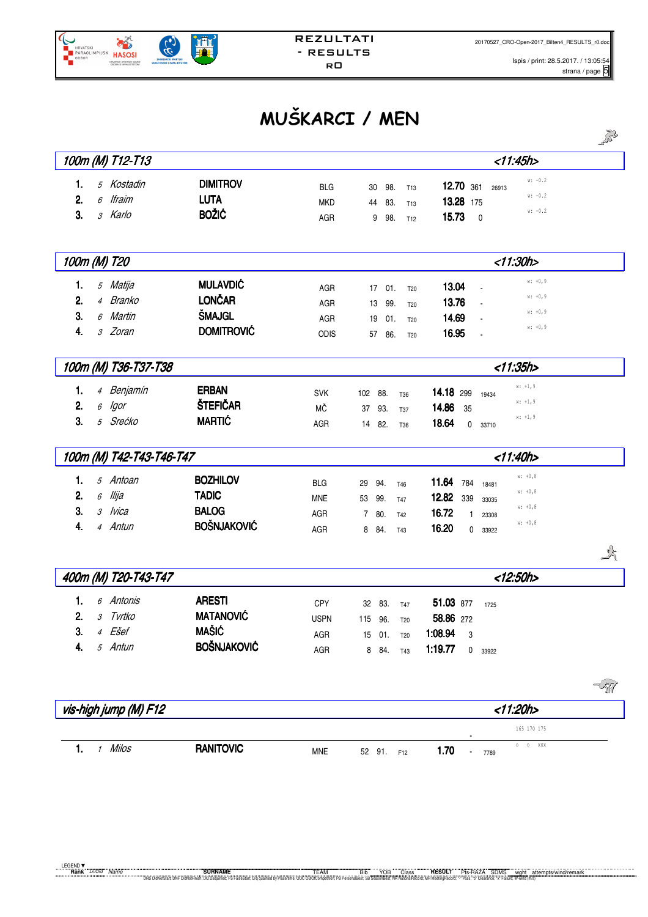

# **MUŠKARCI / MEN**

|                            |                    |             |                           |                                    |             | 2013 |
|----------------------------|--------------------|-------------|---------------------------|------------------------------------|-------------|------|
| 100m (M) T12-T13           |                    |             |                           |                                    | <11:45h>    |      |
| 5 Kostadin<br>1.           | <b>DIMITROV</b>    | <b>BLG</b>  | 30<br>98.<br>T13          | 12.70 361<br>26913                 | $w: -0.2$   |      |
| 6 Ifraim<br>2.             | <b>LUTA</b>        | <b>MKD</b>  | 83.<br>44<br>T13          | 13.28 175                          | $w: -0.2$   |      |
| 3.<br>3 Karlo              | <b>BOŽIĆ</b>       | AGR         | 9<br>98.<br>T12           | 15.73<br>$\mathbf 0$               | $w: -0.2$   |      |
|                            |                    |             |                           |                                    |             |      |
| 100m (M) T20               |                    |             |                           |                                    | <11:30h>    |      |
| 5 Matija<br>1.             | <b>MULAVDIĆ</b>    | AGR         | 17<br>01.                 | 13.04                              | $w: +0, 9$  |      |
| 4 Branko<br>2.             | <b>LONČAR</b>      | AGR         | T20<br>99.<br>13          | 13.76                              | $w: +0, 9$  |      |
| 3.<br>6 Martin             | <b>ŠMAJGL</b>      | AGR         | T20<br>19<br>01.          | 14.69                              | $w: +0, 9$  |      |
| 3 Zoran<br>4.              | <b>DOMITROVIĆ</b>  | ODIS        | T <sub>20</sub><br>57     | 16.95                              | $w: +0, 9$  |      |
|                            |                    |             | 86.<br>T20                |                                    |             |      |
| 100m (M) T36-T37-T38       |                    |             |                           |                                    | <11:35h     |      |
| 4 Benjamín<br>1.           | <b>ERBAN</b>       | <b>SVK</b>  | 102 88.<br>T36            | 14.18 299<br>19434                 | $w: +1, 9$  |      |
| 2.<br>lgor<br>6            | ŠTEFIČAR           | МČ          | 37<br>93.<br><b>T37</b>   | 14.86<br>35                        | $w: +1, 9$  |      |
| 3.<br>5 Srećko             | <b>MARTIC</b>      | AGR         | 14 82.<br>T <sub>36</sub> | 18.64<br>$\mathbf 0$<br>33710      | $w: +1, 9$  |      |
|                            |                    |             |                           |                                    |             |      |
| 100m (M) T42-T43-T46-T47   |                    |             |                           |                                    | < 11:40h>   |      |
| 5 Antoan<br>1.             | <b>BOZHILOV</b>    | <b>BLG</b>  | 29<br>94.<br><b>T46</b>   | 11.64<br>784<br>18481              | $w: +0, 8$  |      |
| llija<br>2.<br>6           | <b>TADIC</b>       | <b>MNE</b>  | 53 99.<br><b>T47</b>      | 12.82<br>339<br>33035              | $w: +0, 8$  |      |
| 3.<br>3 Ivica              | <b>BALOG</b>       | AGR         | 7 80.<br><b>T42</b>       | 16.72<br>1<br>23308                | $w: +0, 8$  |      |
| 4 Antun<br>4.              | <b>BOŠNJAKOVIĆ</b> | AGR         | 8 84.<br><b>T43</b>       | 16.20<br>0<br>33922                | $w: +0, 8$  |      |
|                            |                    |             |                           |                                    |             | 运    |
| 400m (M) T20-T43-T47       |                    |             |                           |                                    | <12:50h>    |      |
| 6 Antonis<br>1.            | <b>ARESTI</b>      | CPY         | 32 83.<br><b>T47</b>      | 51.03 877<br>1725                  |             |      |
| 2 <sup>1</sup><br>3 Tvrtko | <b>MATANOVIĆ</b>   | <b>USPN</b> | 115 96.<br>T20            | 58.86 272                          |             |      |
| 4 Ešef<br>3.               | <b>MAŠIĆ</b>       | AGR         | 15 01.<br><b>T20</b>      | 1:08.94<br>3                       |             |      |
| 5 Antun<br>4.              | <b>BOŠNJAKOVIĆ</b> | AGR         | 8 84.<br>T43              | 1:19.77<br>$\mathsf{O}^-$<br>33922 |             |      |
|                            |                    |             |                           |                                    |             |      |
|                            |                    |             |                           |                                    |             | -51  |
| vis-high jump (M) F12      |                    |             |                           |                                    | < 11:20h    |      |
|                            |                    |             |                           |                                    | 165 170 175 |      |
|                            |                    |             |                           |                                    |             |      |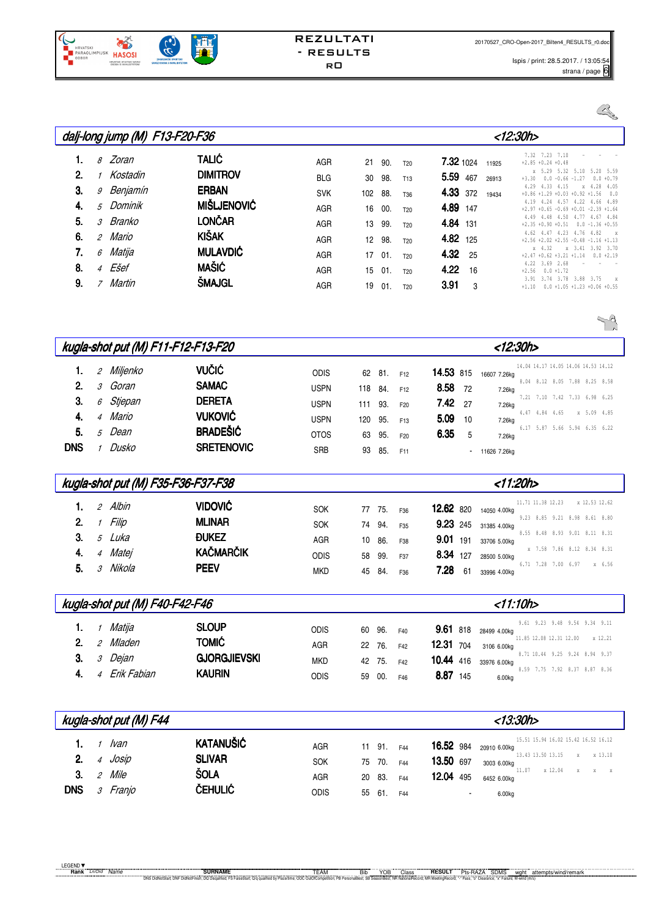

Ispis / print: 28.5.2017. / 13:05:54  $stran / page 6$ 

|    |                | dalj-long jump (M) F13-F20-F36 |                    |            |                 |     |                 |                 |       | <12:30h>                                                                                                                 |
|----|----------------|--------------------------------|--------------------|------------|-----------------|-----|-----------------|-----------------|-------|--------------------------------------------------------------------------------------------------------------------------|
|    | 8              | Zoran                          | <b>TALIĆ</b>       | AGR        | 21              | 90. | T <sub>20</sub> | 7.32 1024       | 11925 | 7.32 7.23 7.10<br>$+2.85 +0.24 +0.48$<br>x 5.29 5.32<br>5.20 5.59<br>5.10                                                |
| 2. |                | Kostadin                       | <b>DIMITROV</b>    | <b>BLG</b> | 30              | 98. | T <sub>13</sub> | 5.59<br>467     | 26913 | $+3.30$<br>$0.0 - 0.66 - 1.27$<br>$0.0 + 0.79$                                                                           |
| 3. | 9              | Benjamín                       | <b>ERBAN</b>       | <b>SVK</b> | 102             | 88. | T36             | <b>4.33</b> 372 | 19434 | 4.33 4.15<br>x 4.28 4.05<br>4.29<br>$+0.86 +1.29 +0.03 +0.92 +1.56$<br>0.0<br>4.24 4.57 4.22 4.66 4.89<br>4.19           |
| 4. |                | 5 Dominik                      | <b>MIŠLJENOVIĆ</b> | <b>AGR</b> | 16              | 00. | T <sub>20</sub> | 4.89 147        |       | $+0.65 -0.69 +0.01 -2.39 +1.64$<br>$+2.97$                                                                               |
| 5. |                | <i>3 Branko</i>                | <b>LONČAR</b>      | <b>AGR</b> | 13              | 99. | T <sub>20</sub> | 4.84 131        |       | 4.48 4.50 4.77 4.67 4.84<br>4.49<br>$+2.35 +0.90 +0.51$<br>$0.0 -1.36 +0.55$<br>4.62 4.47 4.23 4.76 4.82<br>$\mathbf{x}$ |
| 6. | 2              | Mario                          | <b>KIŠAK</b>       | AGR        | 12 <sup>°</sup> | 98. | T <sub>20</sub> | 4.82 125        |       | $+2.56 +2.02 +2.55 -0.48 -1.16 +1.13$                                                                                    |
| 7. | 6              | Matija                         | <b>MULAVDIĆ</b>    | <b>AGR</b> | 17              | 01. | T <sub>20</sub> | 4.32<br>25      |       | x 3.41 3.92 3.70<br>$x = 4.32$<br>$+2.47 +0.62 +3.21 +1.14$<br>$0.0 + 2.19$                                              |
| 8. | $\overline{4}$ | Ešef                           | <b>MAŠIĆ</b>       | <b>AGR</b> | 15              | 01. | T <sub>20</sub> | 4.22<br>16      |       | 4.22 3.69 2.68<br>$+2.56$<br>$0.0 + 1.72$                                                                                |
| 9. | $\overline{z}$ | Martin                         | <b>SMAJGL</b>      | AGR        | 19              | 01. | T <sub>20</sub> | 3.91<br>3       |       | 3.74<br>3.78 3.88<br>3.75<br>3.91<br>X<br>$0.0 +1.05 +1.23 +0.06 +0.55$<br>$+1.10$                                       |

|            |                             |          | kugla-shot put (M) F11-F12-F13-F20 |             |     |     |                 | <12:30h>                                       |                                     |
|------------|-----------------------------|----------|------------------------------------|-------------|-----|-----|-----------------|------------------------------------------------|-------------------------------------|
| 1.         | $\mathcal{L}_{\mathcal{L}}$ | Miljenko | <b>VUČIĆ</b>                       | <b>ODIS</b> | 62  | 81. | F <sub>12</sub> | 14.53 815<br>16607 7.26kg                      | 14.04 14.17 14.05 14.06 14.53 14.12 |
| 2.         | 3                           | Goran    | <b>SAMAC</b>                       | <b>USPN</b> | 118 | 84. | F12             | 8.58<br>72<br>7.26kg                           | 8.04 8.12 8.05 7.88 8.25 8.58       |
| 3.         | 6                           | Stjepan  | <b>DERETA</b>                      | <b>USPN</b> | 111 | 93. | F <sub>20</sub> | 7.42<br>27<br>7.26kg                           | 7.21 7.10 7.42 7.33 6.98 6.25       |
| 4.         | $\overline{4}$              | Mario    | <b>VUKOVIĆ</b>                     | <b>USPN</b> | 120 | 95. | F <sub>13</sub> | 4.47 4.84 4.65<br>5.09<br>10<br>7.26kg         | x 5.09 4.85                         |
| 5.         | 5                           | Dean     | <b>BRADEŠIĆ</b>                    | <b>OTOS</b> | 63  | 95. | F <sub>20</sub> | 6.35<br>-5<br>7.26kg                           | 6.17 5.87 5.66 5.94 6.35 6.22       |
| <b>DNS</b> |                             | 1 Dusko  | <b>SRETENOVIC</b>                  | <b>SRB</b>  | 93  | 85. | F11             | 11626 7.26kg<br>۰.                             |                                     |
|            |                             |          |                                    |             |     |     |                 |                                                |                                     |
|            |                             |          | kugla-shot put (M) F35-F36-F37-F38 |             |     |     |                 | <11:20h>                                       |                                     |
| 1.         | $\mathcal{L}$               | Albin    | <b>VIDOVIĆ</b>                     | <b>SOK</b>  | 77  | 75. | F36             | 11.71 11.38 12.23<br>12.62 820<br>14050 4.00kg | x 12.53 12.62                       |
| 2.         |                             | Filip    | <b>MLINAR</b>                      | <b>SOK</b>  | 74  | 94. | F35             | 9.23<br>245<br>31385 4.00kg                    | 9.23 8.85 9.21 8.98 8.61 8.80       |
| 3.         | 5                           | Luka     | <b><i><u>DUKEZ</u></i></b>         | <b>AGR</b>  | 10  | 86. | F38             | 9.01<br>191<br>33706 5.00kg                    | 8.55 8.48 8.93 9.01 8.11 8.31       |
| 4.         | $\overline{4}$              | Matei    | <b>KAČMARČIK</b>                   | <b>ODIS</b> | 58  | 99. | F37             | 8.34<br>127<br>28500 5.00kg                    | x 7.58 7.86 8.12 8.34 8.31          |
| 5.         | 3                           | Nikola   | <b>PEEV</b>                        | <b>MKD</b>  | 45  | 84. | F36             | 7.28<br>61<br>33996 4.00kg                     | 6.71 7.28 7.00 6.97<br>x 6.56       |

|    |                             | kugla-shot put (M) F40-F42-F46 |                     |            |    |        |     |           | $<$ 11:10h>                                       |
|----|-----------------------------|--------------------------------|---------------------|------------|----|--------|-----|-----------|---------------------------------------------------|
|    | $\overline{1}$              | Matija                         | <b>SLOUP</b>        | odis       | 60 | 96.    | F40 | 9.61 818  | 9.61 9.23 9.48 9.54 9.34 9.11<br>28499 4.00kg     |
| 2. | 2                           | Mladen                         | <b>TOMIĆ</b>        | AGR        |    | 22 76. | F42 | 12.31 704 | x 12.21<br>11.85 12.08 12.31 12.00<br>3106 6.00kg |
| 3. | $\mathcal{S}_{\mathcal{S}}$ | Dejan                          | <b>GJORGJIEVSKI</b> | <b>MKD</b> |    | 42 75. | F42 | 10.44 416 | 8.71 10.44 9.25 9.24 8.94 9.37<br>33976 6.00kg    |
|    | $\overline{4}$              | Erik Fabian                    | <b>KAURIN</b>       | odis       | 59 | 00.    | F46 | 8.87 145  | 8.59 7.75 7.92 8.37 8.87 8.36<br>6.00kg           |

|                        |                                                    | kugla-shot put (M) F44          |                                                             |                                  |    |                                   |                          |                                            |        | <13:30h>                                                                                                                                          |
|------------------------|----------------------------------------------------|---------------------------------|-------------------------------------------------------------|----------------------------------|----|-----------------------------------|--------------------------|--------------------------------------------|--------|---------------------------------------------------------------------------------------------------------------------------------------------------|
| 2.<br>3.<br><b>DNS</b> | $\overline{4}$<br>2<br>$\mathcal{S}_{\mathcal{S}}$ | lvan<br>Josip<br>Mile<br>Franjo | <b>KATANUŠIĆ</b><br><b>SLIVAR</b><br><b>ŠOLA</b><br>ČEHULIĆ | AGR<br><b>SOK</b><br>AGR<br>odis | 55 | 11 91.<br>75 70.<br>20 83.<br>61. | F44<br>F44<br>F44<br>F44 | <b>16.52</b> 984<br>13.50 697<br>12.04 495 | $\sim$ | 15.51 15.94 16.02 15.42 16.52 16.12<br>20910 6.00kg<br>13.43 13.50 13.15<br>x x 13.10<br>3003 6.00kg<br>11.07<br>x 12.04<br>6452 6.00kg<br>6.00kg |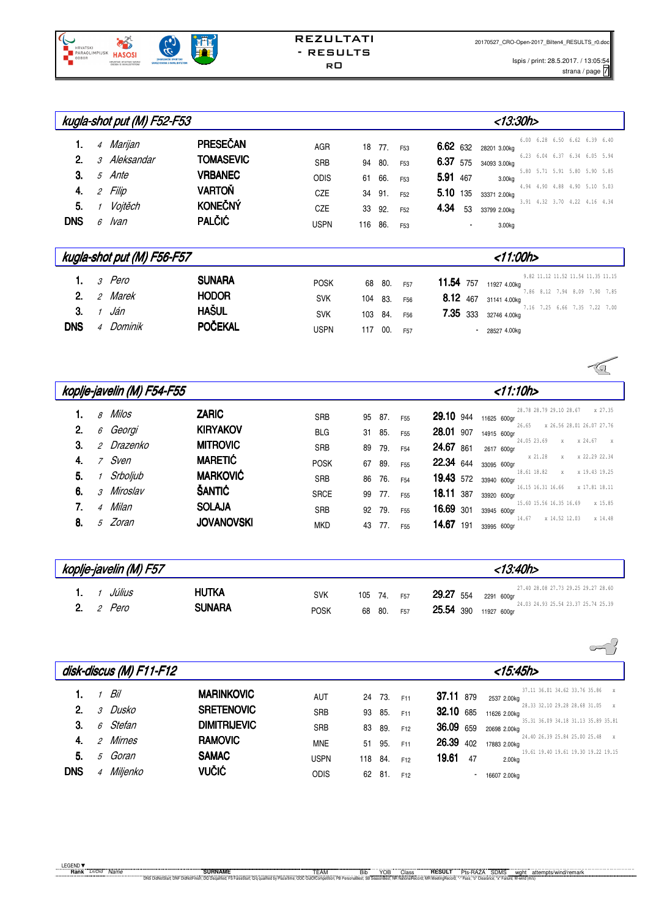

Ispis / print: 28.5.2017. / 13:05:54 s.2017.713.05.54<br>strana / page 7

|            |                             | kugla-shot put (M) F52-F53 |                  |             |     |     |                 | <13:30h>                                                           |
|------------|-----------------------------|----------------------------|------------------|-------------|-----|-----|-----------------|--------------------------------------------------------------------|
| 1.         |                             | 4 Marijan                  | PRESEČAN         | <b>AGR</b>  | 18  | 77. | F <sub>53</sub> | 6.00 6.28 6.50 6.62 6.39 6.40<br>6.62 632<br>28201 3.00kg          |
| 2.         |                             | 3 Aleksandar               | <b>TOMASEVIC</b> | <b>SRB</b>  | 94  | 80. | F <sub>53</sub> | 6.23 6.04 6.37 6.34 6.05 5.94<br>6.37 575<br>34093 3.00kg          |
| 3.         |                             | 5 Ante                     | <b>VRBANEC</b>   | <b>ODIS</b> | 61  | 66. | F <sub>53</sub> | 5.80 5.71 5.91 5.80 5.90 5.85<br>5.91 467<br>3.00kg                |
| 4.         | $\mathcal{L}_{\mathcal{L}}$ | Filip                      | <b>VARTOŇ</b>    | CZE         | 34  | 91. | F <sub>52</sub> | 4.94 4.90 4.88 4.90 5.10 5.03<br>5.10 135<br>33371 2.00kg          |
| 5.         | $\mathcal I$                | Vojtěch                    | <b>KONEČNÝ</b>   | <b>CZE</b>  | 33  | 92. | F <sub>52</sub> | 3.91 4.32 3.70 4.22 4.16 4.34<br>4.34<br>53<br>33799 2.00kg        |
| <b>DNS</b> |                             | 6 Ivan                     | <b>PALČIĆ</b>    | <b>USPN</b> | 116 | 86. | F <sub>53</sub> | 3.00kg<br>$\blacksquare$                                           |
|            |                             | kugla-shot put (M) F56-F57 |                  |             |     |     |                 | $<$ 11:00h>                                                        |
| 1.         |                             | 3 Pero                     | <b>SUNARA</b>    | <b>POSK</b> | 68  | 80. | F <sub>57</sub> | 9.82 11.12 11.52 11.54 11.35 11.15<br>11.54<br>757<br>11927 4.00kg |
| 2.         | $\mathcal{L}_{\mathcal{L}}$ | Marek                      | <b>HODOR</b>     | <b>SVK</b>  | 104 | 83. | F <sub>56</sub> | 7.86 8.12 7.94 8.09 7.90 7.85<br>8.12 467<br>31141 4.00kg          |
| 3.         | $\mathcal I$                | Ján                        | <b>HAŠUL</b>     | <b>SVK</b>  | 103 | 84. | F56             | 7.16 7.25 6.66 7.35 7.22 7.00<br>7.35 333<br>32746 4.00kg          |
| <b>DNS</b> |                             | 4 Dominik                  | POČEKAL          | <b>USPN</b> | 117 | 00. | F <sub>57</sub> | $-285274.00kg$                                                     |
|            |                             |                            |                  |             |     |     |                 |                                                                    |

|    |                | koplje-javelin (M) F54-F55 |                   |             | $<$ 11:10h> |        |                 |                                                             |                           |
|----|----------------|----------------------------|-------------------|-------------|-------------|--------|-----------------|-------------------------------------------------------------|---------------------------|
|    | $\beta$        | Milos                      | <b>ZARIC</b>      | <b>SRB</b>  |             | 95 87. | F <sub>55</sub> | 28.78 28.79 29.10 28.67<br><b>29.10</b> 944<br>11625 600gr  | x 27.35                   |
| 2. | 6              | Georgi                     | <b>KIRYAKOV</b>   | <b>BLG</b>  | 31          | 85.    | F <sub>55</sub> | 26.65<br>28.01 907<br>14915 600gr                           | x 26.56 28.01 26.07 27.76 |
| З. |                | <i>2 Drazenko</i>          | <b>MITROVIC</b>   | <b>SRB</b>  | 89          | 79.    | F <sub>54</sub> | 24.05 23.69<br>24.67 861<br>2617 600gr                      | x x 24.67 x               |
|    | $\overline{7}$ | Sven                       | <b>MARETIĆ</b>    | <b>POSK</b> | 67          | 89.    | F <sub>55</sub> | x 21.28<br>X<br><b>22.34</b> 644<br>33095 600gr             | x 22.29 22.34             |
| 5. |                | Srboljub                   | <b>MARKOVIĆ</b>   | <b>SRB</b>  | 86          | 76.    | F <sub>54</sub> | 18.61 18.82<br>$\mathbf{x}$<br>19.43 572<br>33940 600gr     | x 19.43 19.25             |
| 6. |                | 3 Miroslav                 | ŠANTIĆ            | <b>SRCE</b> |             | 99 77. | F <sub>55</sub> | 16.15 16.31 16.66 x 17.81 18.11<br>18.11 387<br>33920 600gr |                           |
|    |                | 4 Milan                    | <b>SOLAJA</b>     | <b>SRB</b>  | 92          | 79.    | F <sub>55</sub> | 15.60 15.56 16.35 16.69<br>16.69 301<br>33945 600gr         | x 15.85                   |
| 8. | $\mathcal{F}$  | Zoran                      | <b>JOVANOVSKI</b> | <b>MKD</b>  | 43          | 77.    | F <sub>55</sub> | 14.67<br>x 14.52 12.03<br>14.67 191<br>33995 600ar          | x 14.48                   |

| koplje-javelin (M) F57     |                               |                           |                           |                                           | <13:40h>                                                                                 |
|----------------------------|-------------------------------|---------------------------|---------------------------|-------------------------------------------|------------------------------------------------------------------------------------------|
| Július<br><b>2.</b> 2 Pero | <b>HUTKA</b><br><b>SUNARA</b> | <b>SVK</b><br><b>POSK</b> | 105 74. F57<br>68 80. F57 | <b>29.27</b> 554<br>25.54 390 11927 600gr | 27.40 28.08 27.73 29.25 29.27 28.60<br>2291 600ar<br>24.03 24.93 25.54 23.37 25.74 25.39 |

|            |   | disk-discus (M) F11-F12 |                     |             |     |      |                 | $<$ 15:45h>               |                                               |
|------------|---|-------------------------|---------------------|-------------|-----|------|-----------------|---------------------------|-----------------------------------------------|
| 1.         |   | Bil                     | <b>MARINKOVIC</b>   | AUT         | 24  | 73.  | F11             | 37.11 879<br>2537 2.00kg  | 37.11 36.01 34.62 33.76 35.86<br>$\times$     |
| 2.         | 3 | Dusko                   | <b>SRETENOVIC</b>   | <b>SRB</b>  | 93  | 85.  | F11             | 32.10 685<br>11626 2.00kg | 28.33 32.10 29.28 28.68 31.05<br>$\mathbf{x}$ |
| 3.         | 6 | Stefan                  | <b>DIMITRIJEVIC</b> | <b>SRB</b>  | 83  | 89.  | F12             | 36.09 659<br>20698 2.00kg | 35.31 36.09 34.18 31.13 35.89 35.81           |
| 4.         | 2 | Mirnes                  | <b>RAMOVIC</b>      | <b>MNE</b>  | 51  | 95.  | F11             | 26.39 402<br>17883 2.00kg | 24.40 26.39 25.84 25.00 25.48<br>$\mathbf{x}$ |
| 5.         | 5 | Goran                   | <b>SAMAC</b>        | <b>USPN</b> | 118 | 84.  | F12             | 19.61<br>47<br>2.00kg     | 19.61 19.40 19.61 19.30 19.22 19.15           |
| <b>DNS</b> | 4 | Miljenko                | <b>VUČIĆ</b>        | <b>ODIS</b> | 62  | -81. | F <sub>12</sub> | 16607 2.00kg              |                                               |

 $\overline{\phantom{a}}$ 

 $\sqrt{2}$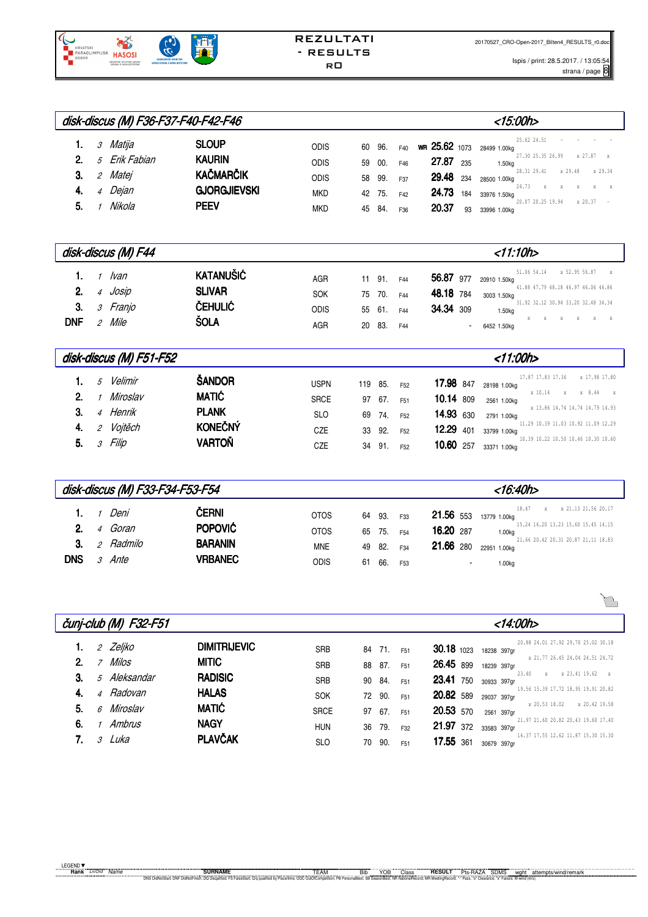

Ispis / print: 28.5.2017. / 13:05:54  $\frac{1}{2}$ strana / page  $\frac{8}{8}$ 

|                |                |                 | disk-discus (M) F36-F37-F40-F42-F46 |             |    |        |     |                            |     | <15:00h>                                          |
|----------------|----------------|-----------------|-------------------------------------|-------------|----|--------|-----|----------------------------|-----|---------------------------------------------------|
| 1.             |                | <i>3 Matija</i> | <b>SLOUP</b>                        | <b>ODIS</b> | 60 | 96.    | F40 | WR 25.62 1073 28499 1.00kg |     | 25.62 24.51                                       |
| 2 <sup>1</sup> |                | 5 Erik Fabian   | <b>KAURIN</b>                       | <b>ODIS</b> | 59 | 00.    | F46 | 27.87                      | 235 | 27.30 25.35 26.99<br>y 27 87<br>1.50kg            |
| 3.             | $\overline{2}$ | Matei           | <b>KAČMARČIK</b>                    | <b>ODIS</b> | 58 | 99.    | F37 | 29.48 234                  |     | 28.31 29.41<br>x 29.48<br>x 29.34<br>28500 1.00kg |
| 4.             | $\overline{4}$ | Dejan           | <b>GJORGJIEVSKI</b>                 | <b>MKD</b>  |    | 42 75. | F42 | 24.73                      | 184 | 24.73<br>$\mathbf{x}$<br>33976 1.50kg             |
| 5.             |                | Nikola          | <b>PEEV</b>                         | <b>MKD</b>  | 45 | 84.    | F36 | 20.37                      | 93  | x 20.37<br>20.07 20.25 19.94<br>33996 1.00kg      |

|                                               | disk-discus (M) F44                      |                                                                    |                                         |    |                                   |                          | <11:10h>                                                                                                                                                                                                                          |
|-----------------------------------------------|------------------------------------------|--------------------------------------------------------------------|-----------------------------------------|----|-----------------------------------|--------------------------|-----------------------------------------------------------------------------------------------------------------------------------------------------------------------------------------------------------------------------------|
| 2.<br>$\overline{4}$<br>3.<br><b>DNF</b><br>2 | lvan<br>Josip<br><i>3 Franjo</i><br>Mile | <b>KATANUŠIĆ</b><br><b>SLIVAR</b><br><b>ČEHULIĆ</b><br><b>ŠOLA</b> | AGR<br><b>SOK</b><br><b>ODIS</b><br>AGR | 20 | 11 91.<br>75 70.<br>55 61.<br>83. | F44<br>F44<br>F44<br>F44 | x 52.95 56.87<br>51.06 54.14<br>X<br>56.87 977 20910 1.50kg<br>41.88 47.79 48.18 46.97 46.06 46.86<br>48.18 784<br>3003 1.50kg<br>31.92 32.12 30.94 33.20 32.48 34.34<br>34.34 309<br>1.50kg<br>$X$ $X$<br>$X$ $X$<br>6452 1.50kg |

|             |                | disk-discus (M) F51-F52 |                |             |     |     |                 |           | <11:00h>                                              |
|-------------|----------------|-------------------------|----------------|-------------|-----|-----|-----------------|-----------|-------------------------------------------------------|
|             | 5              | Velimir                 | ŠANDOR         | <b>USPN</b> | 119 | 85. | F <sub>52</sub> | 17.98 847 | x 17.98 17.80<br>17.87 17.83 17.36<br>28198 1.00kg    |
| $2_{\cdot}$ |                | Miroslav                | <b>MATIĆ</b>   | <b>SRCE</b> | 97  | 67. | F <sub>51</sub> | 10.14 809 | x 10.14<br>x 8.44<br>$\mathbf{x}$<br>X<br>2561 1.00kg |
| 3.          | $\overline{A}$ | Henrik                  | <b>PLANK</b>   | <b>SLO</b>  | 69  | 74. | F <sub>52</sub> | 14.93 630 | x 13.86 14.74 14.74 14.79 14.93<br>2791 1.00kg        |
| 4.          |                | Vojtěch                 | <b>KONEČNÝ</b> | CZE         | 33  | 92. | F <sub>52</sub> | 12.29 401 | 11.29 10.39 11.03 10.92 11.09 12.29<br>33799 1.00kg   |
| 5.          |                | Filip                   | <b>VARTOŇ</b>  | CZE         | 34  | 91. | F <sub>52</sub> | 10.60 257 | 10.39 10.22 10.50 10.46 10.30 10.60<br>33371 1.00kg   |

|                                    |                                                |                                  | disk-discus (M) F33-F34-F53-F54                             |                                                  |                      |                          |                                                  | <16:40h>                                                                                                                                                                                                                            |
|------------------------------------|------------------------------------------------|----------------------------------|-------------------------------------------------------------|--------------------------------------------------|----------------------|--------------------------|--------------------------------------------------|-------------------------------------------------------------------------------------------------------------------------------------------------------------------------------------------------------------------------------------|
| 2 <sup>1</sup><br>3.<br><b>DNS</b> | $\boldsymbol{\varDelta}$<br>2<br>$\mathcal{R}$ | Deni<br>Goran<br>Radmilo<br>Ante | Černi<br><b>POPOVIĆ</b><br><b>BARANIN</b><br><b>VRBANEC</b> | <b>OTOS</b><br><b>OTOS</b><br><b>MNE</b><br>odis | 64<br>65<br>49<br>61 | 93.<br>75.<br>82.<br>66. | F33<br>F <sub>54</sub><br>F34<br>F <sub>53</sub> | 18.47<br>x 21.13 21.56 20.17<br>21.56 553<br>13779 1.00ka<br>15.24 16.20 13.23 15.60 15.45 14.15<br>16.20 287<br>1.00 <sub>kq</sub><br>21.66 20.42 20.31 20.87 21.11 18.83<br>21.66 280<br>22951 1.00kg<br>1.00kg<br>$\blacksquare$ |

|                |                | čunj-club (M) F32-F51 |                     | <14:00h>    |    |        |                 |                                                                    |               |
|----------------|----------------|-----------------------|---------------------|-------------|----|--------|-----------------|--------------------------------------------------------------------|---------------|
|                |                |                       |                     |             |    |        |                 |                                                                    |               |
|                | 2              | Zeljko                | <b>DIMITRIJEVIC</b> | <b>SRB</b>  |    | 84 71. | F <sub>51</sub> | 20.88 24.01 27.92 29.70 25.02 30.18<br>$30.18$ 1023<br>18238 397qr |               |
| 2 <sup>1</sup> | $\overline{ }$ | Milos                 | <b>MITIC</b>        | <b>SRB</b>  | 88 | 87.    | F <sub>51</sub> | x 21.77 26.45 24.04 24.51 24.72<br>26.45 899<br>18239 397qr        |               |
| 3.             |                | 5 Aleksandar          | <b>RADISIC</b>      | <b>SRB</b>  | 90 | 84.    | F <sub>51</sub> | 23.40<br>X<br>23.41<br>750<br>30933 397qr                          | x 23.41 19.62 |
| 4.             | $\overline{4}$ | Radovan               | <b>HALAS</b>        | <b>SOK</b>  | 72 | 90.    | F <sub>51</sub> | 19.56 15.39 17.72 18.95 19.91 20.82<br>20.82 589<br>29037 397qr    |               |
| 5.             | ĥ              | Miroslav              | <b>MATIĆ</b>        | <b>SRCE</b> | 97 | 67.    | F <sub>51</sub> | x 20.53 18.02<br>20.53 570<br>2561 397gr                           | x 20.42 19.58 |
| 6.             |                | Ambrus                | <b>NAGY</b>         | <b>HUN</b>  | 36 | 79.    | F32             | 21.97 21.60 20.82 20.43 19.60 17.40<br>21.97 372<br>33583 397qr    |               |
|                | <sup>2</sup>   | Luka                  | <b>PLAVČAK</b>      | <b>SLO</b>  | 70 | 90.    | F <sub>51</sub> | 14.37 17.55 12.62 11.87 15.30 15.30<br>17.55 361<br>30679 397ar    |               |

 $\overline{\phantom{a}}$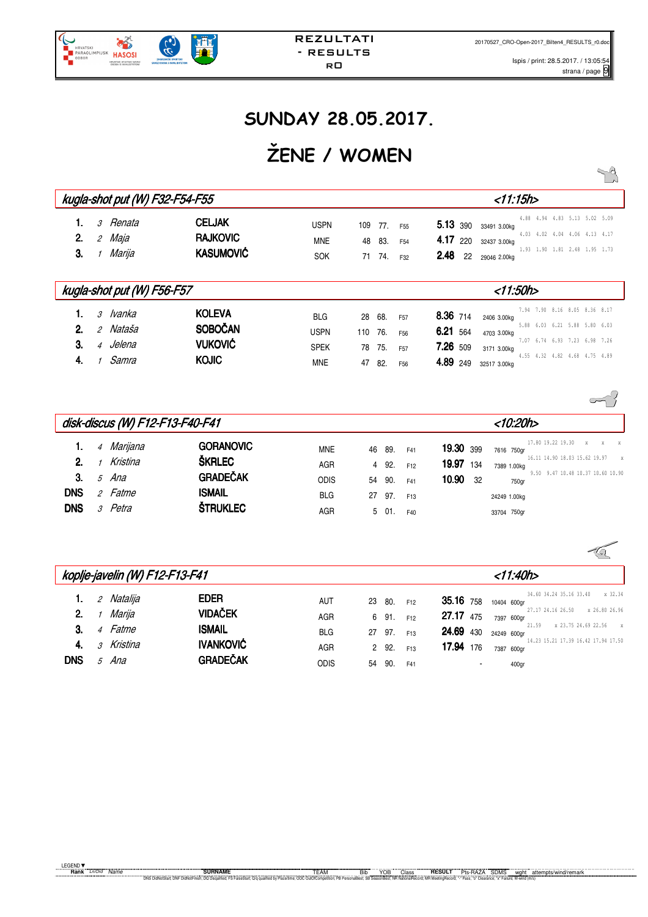$\sqrt{a}$ 

## **SUNDAY 28.05.2017.**

# **ŽENE / WOMEN**

|                                  |               |                                                    | kugla-shot put (W) F32-F54-F55                                    |                                                        |                       |                          |                                                                          | $<$ 11:15h>                                                                                                                                                                                                                                   |
|----------------------------------|---------------|----------------------------------------------------|-------------------------------------------------------------------|--------------------------------------------------------|-----------------------|--------------------------|--------------------------------------------------------------------------|-----------------------------------------------------------------------------------------------------------------------------------------------------------------------------------------------------------------------------------------------|
| 2.<br>3.                         | $\mathcal{L}$ | <i>3 Renata</i><br>Maja<br>1 Marija                | <b>CELJAK</b><br><b>RAJKOVIC</b><br><b>KASUMOVIĆ</b>              | <b>USPN</b><br><b>MNE</b><br><b>SOK</b>                | 109<br>48<br>71       | 77.<br>83.<br>74.        | F <sub>55</sub><br>F <sub>54</sub><br>F32                                | 4.88 4.94 4.83 5.13 5.02 5.09<br>5.13 390<br>33491 3.00kg<br>4.03 4.02 4.04 4.06 4.13 4.17<br>4.17 220<br>32437 3.00kg<br>1.93 1.90 1.81 2.48 1.95 1.73<br>2.48<br>22<br>29046 2.00kg                                                         |
|                                  |               |                                                    | kugla-shot put (W) F56-F57                                        |                                                        |                       |                          |                                                                          | $<$ 11:50h>                                                                                                                                                                                                                                   |
| 1.<br>2 <sub>1</sub><br>3.<br>4. |               | <i>3 Ivanka</i><br>2 Nataša<br>4 Jelena<br>1 Samra | <b>KOLEVA</b><br><b>SOBOČAN</b><br><b>VUKOVIĆ</b><br><b>KOJIC</b> | <b>BLG</b><br><b>USPN</b><br><b>SPEK</b><br><b>MNE</b> | 28<br>110<br>78<br>47 | 68.<br>76.<br>75.<br>82. | F <sub>57</sub><br>F <sub>56</sub><br>F <sub>57</sub><br>F <sub>56</sub> | 7.94 7.90 8.16 8.05 8.36 8.17<br>8.36 714<br>2406 3.00kg<br>5.88 6.03 6.21 5.88 5.80 6.03<br>6.21 564<br>4703 3.00kg<br>7.07 6.74 6.93 7.23 6.98 7.26<br>7.26 509<br>3171 3.00kg<br>4.55 4.32 4.82 4.68 4.75 4.89<br>4.89 249<br>32517 3.00kg |
|                                  |               |                                                    |                                                                   |                                                        |                       |                          |                                                                          |                                                                                                                                                                                                                                               |

|            | disk-discus (W) F12-F13-F40-F41 |                      |                                   |                           |    |              |                        |                           |                      | <10:20h>                                                |              |  |
|------------|---------------------------------|----------------------|-----------------------------------|---------------------------|----|--------------|------------------------|---------------------------|----------------------|---------------------------------------------------------|--------------|--|
| 2.         | $\overline{4}$                  | Marijana<br>Kristina | <b>GORANOVIC</b><br><b>ŠKRLEC</b> | MNE                       | 46 | 89.          | F41                    | 19.30 399                 | 7616 750gr           | 17.80 19.22 19.30<br>X<br>16.11 14.90 18.03 15.62 19.97 | $\mathbf{x}$ |  |
| 3.         | 5                               | Ana                  | <b>GRADEČAK</b>                   | <b>AGR</b><br><b>ODIS</b> | 54 | 4 92.<br>90. | F <sub>12</sub><br>F41 | 19.97 134<br>10.90<br>-32 | 7389 1.00kg<br>750gr | 9.50 9.47 10.48 10.37 10.60 10.90                       |              |  |
| <b>DNS</b> | $\mathcal{P}$                   | Fatme                | <b>ISMAIL</b>                     | <b>BLG</b>                |    | 27 97.       | F <sub>13</sub>        |                           | 24249 1.00kg         |                                                         |              |  |
| <b>DNS</b> | 3                               | Petra                | <b>ŠTRUKLEC</b>                   | AGR                       |    | 5 01.        | F40                    |                           | 33704 750gr          |                                                         |              |  |

|            |               |            | koplje-javelin (W) F12-F13-F41 |            |    |     |                 | <11:40h>                                                             |
|------------|---------------|------------|--------------------------------|------------|----|-----|-----------------|----------------------------------------------------------------------|
|            | $\mathcal{L}$ | Natalija   | <b>EDER</b>                    | AUT        | 23 | 80. | F <sub>12</sub> | x 32.34<br>34.60 34.24 35.16 33.40<br>35.16 758<br>10404 600gr       |
| 2.         |               | Marija     | <b>VIDAČEK</b>                 | AGR        | 6  | 91. | F <sub>12</sub> | 27.17 24.16 26.50<br>x 26.80 26.96<br><b>27.17</b> 475<br>7397 600gr |
| 3.         |               | 4 Fatme    | <b>ISMAIL</b>                  | <b>BLG</b> | 27 | 97. | F <sub>13</sub> | 21.59<br>x 23.75 24.69 22.56<br>X<br><b>24.69</b> 430<br>24249 600gr |
| 4.         |               | 3 Kristina | <b>IVANKOVIĆ</b>               | <b>AGR</b> | 2  | 92. | F <sub>13</sub> | 14.23 15.21 17.39 16.42 17.94 17.50<br>17.94 176<br>7387 600gr       |
| <b>DNS</b> | $\mathcal{F}$ | Ana        | <b>GRADEČAK</b>                | odis       | 54 | 90. | F41             | 400 <sub>gr</sub><br>$\blacksquare$                                  |

REZULTATI - RESULTS r0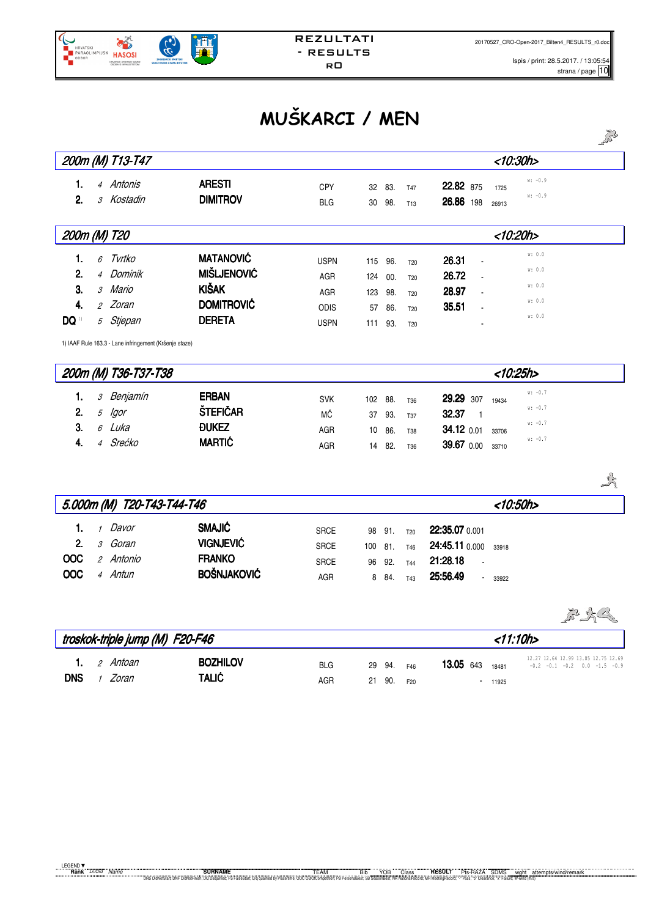

# **MUŠKARCI / MEN**

|                                            |        |                                                                                                                  |                                                                                              |                                                                |                                |                                 |                                                                       |                                                                            |                         |                                                  | 5233 |
|--------------------------------------------|--------|------------------------------------------------------------------------------------------------------------------|----------------------------------------------------------------------------------------------|----------------------------------------------------------------|--------------------------------|---------------------------------|-----------------------------------------------------------------------|----------------------------------------------------------------------------|-------------------------|--------------------------------------------------|------|
|                                            |        | 200m (M) T13-T47                                                                                                 |                                                                                              |                                                                |                                |                                 |                                                                       |                                                                            | <10:30h>                |                                                  |      |
| 1.<br>2.                                   |        | 4 Antonis<br>3 Kostadin                                                                                          | <b>ARESTI</b><br><b>DIMITROV</b>                                                             | <b>CPY</b><br><b>BLG</b>                                       | 32<br>30                       | 83.<br>98.                      | <b>T47</b><br>T13                                                     | 22.82 875<br>26.86 198                                                     | 1725<br>26913           | $w: -0.9$<br>$w: -0.9$                           |      |
| 200m (M) T20                               |        |                                                                                                                  |                                                                                              |                                                                |                                |                                 |                                                                       |                                                                            | <10:20h                 |                                                  |      |
| 1.<br>2.<br>3.<br>4.<br>$\mathbf{DQ}^{11}$ | 6      | Tvrtko<br>4 Dominik<br>3 Mario<br>2 Zoran<br>5 Stjepan<br>1) IAAF Rule 163.3 - Lane infringement (Kršenje staze) | <b>MATANOVIĆ</b><br><b>MIŠLJENOVIĆ</b><br><b>KIŠAK</b><br><b>DOMITROVIĆ</b><br><b>DERETA</b> | <b>USPN</b><br><b>AGR</b><br><b>AGR</b><br>ODIS<br><b>USPN</b> | 115<br>124<br>123<br>57<br>111 | 96.<br>00.<br>98.<br>86.<br>93. | <b>T20</b><br><b>T20</b><br>T <sub>20</sub><br>T20<br>T <sub>20</sub> | 26.31<br>26.72<br>28.97<br>35.51                                           |                         | w: 0.0<br>w: 0.0<br>w: 0.0<br>w: 0.0<br>w: 0.0   |      |
|                                            |        | 200m (M) T36-T37-T38                                                                                             |                                                                                              |                                                                |                                |                                 |                                                                       |                                                                            | <10:25h                 |                                                  |      |
| 1.<br>2.<br>3.<br>4.                       | 5<br>6 | 3 Benjamín<br>lgor<br>Luka<br>4 Srećko                                                                           | <b>ERBAN</b><br>ŠTEFIČAR<br><b>ĐUKEZ</b><br><b>MARTIĆ</b>                                    | <b>SVK</b><br>МČ<br><b>AGR</b><br>AGR                          | 102<br>37<br>10<br>14          | 88.<br>93.<br>86.<br>82.        | <b>T36</b><br>T37<br><b>T38</b><br>T36                                | 29.29 307<br>32.37<br>$\overline{1}$<br>34.12 0.01<br>39.67 0.00           | 19434<br>33706<br>33710 | $w: -0.7$<br>$w: -0.7$<br>$w: -0.7$<br>$w: -0.7$ |      |
|                                            |        |                                                                                                                  |                                                                                              |                                                                |                                |                                 |                                                                       |                                                                            |                         |                                                  | 式    |
|                                            |        | 5.000m (M) T20-T43-T44-T46                                                                                       |                                                                                              |                                                                |                                |                                 |                                                                       |                                                                            | <10:50h>                |                                                  |      |
| 1.<br>2.<br><b>OOC</b><br>OOC              |        | 1 Davor<br>3 Goran<br>2 Antonio<br>4 Antun                                                                       | <b>SMAJIĆ</b><br><b>VIGNJEVIĆ</b><br><b>FRANKO</b><br><b>BOŠNJAKOVIĆ</b>                     | <b>SRCE</b><br><b>SRCE</b><br><b>SRCE</b><br>AGR               | 98<br>100<br>96<br>8           | 91.<br>81.<br>92.<br>84.        | <b>T20</b><br>T46<br><b>T44</b><br>T43                                | 22:35.07 0.001<br>24:45.11 0.000<br>21:28.18<br>25:56.49<br>$\blacksquare$ | 33918<br>33922          |                                                  |      |
|                                            |        | ورواري والمطاري والمروان                                                                                         | $\overline{AB}$ Foo Fin                                                                      |                                                                |                                |                                 |                                                                       |                                                                            | 44.4AL                  |                                                  | 2223 |

|            | troskok-triple jump (M) F20-F46 |                                     |                                 |                   |  |                      | <11:10h>        |                  |                   |                                                                               |  |  |  |
|------------|---------------------------------|-------------------------------------|---------------------------------|-------------------|--|----------------------|-----------------|------------------|-------------------|-------------------------------------------------------------------------------|--|--|--|
| <b>DNS</b> |                                 | <b>1</b> . <i>2 Antoan</i><br>Zoran | <b>BOZHILOV</b><br><b>TALIĆ</b> | <b>BLG</b><br>AGR |  | 29 94. F46<br>21 90. | F <sub>20</sub> | <b>13.05</b> 643 | 18481<br>$-11925$ | 12.27 12.64 12.99 13.05 12.75 12.69<br>$-0.2$ $-0.1$ $-0.2$ 0.0 $-1.5$ $-0.9$ |  |  |  |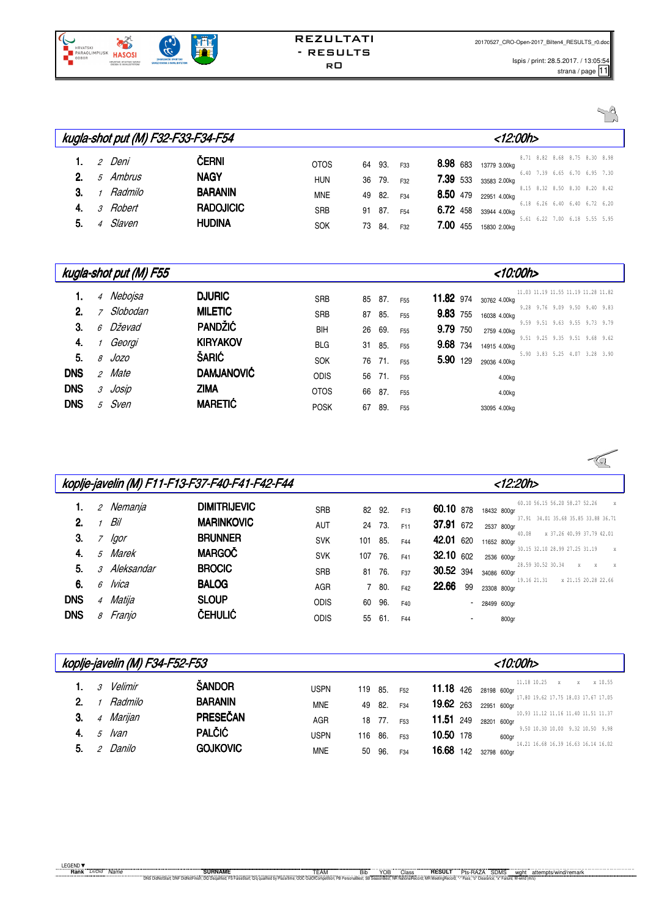

|          |                    |                    | kugla-shot put (M) F32-F33-F34-F54 |                          |              |            |                        |                 | <12:00h>                                       |                                                                |  |  |
|----------|--------------------|--------------------|------------------------------------|--------------------------|--------------|------------|------------------------|-----------------|------------------------------------------------|----------------------------------------------------------------|--|--|
| 1.<br>2. |                    | 2 Deni<br>5 Ambrus | ČERNI<br><b>NAGY</b>               | <b>OTOS</b>              | 64           | 93.        | F33                    | 8.98 683        | 13779 3.00kg                                   | 8.71 8.82 8.68 8.75 8.30 8.98<br>6.40 7.39 6.65 6.70 6.95 7.30 |  |  |
| 3.       |                    | Radmilo            | <b>BARANIN</b>                     | <b>HUN</b><br><b>MNE</b> | 36<br>49     | 79.<br>82. | F32<br>F34             |                 | 7.39 533 33583 2.00kg<br>8.50 479 22951 4.00kg | 8.15 8.32 8.50 8.30 8.20 8.42                                  |  |  |
| 4.<br>5. | $\mathcal{S}$<br>Δ | Robert<br>Slaven   | <b>RADOJICIC</b><br><b>HUDINA</b>  | <b>SRB</b><br><b>SOK</b> | 91<br>73 84. | 87.        | F <sub>54</sub><br>F32 | <b>7.00 455</b> | 6.72 458 33944 4.00kg<br>15830 2.00kg          | 6.18 6.26 6.40 6.40 6.72 6.20<br>5.61 6.22 7.00 6.18 5.55 5.95 |  |  |

|            |               | kugla-shot put (M) F55 |                   |             |    |     |                 | <10:00h>                                                                |
|------------|---------------|------------------------|-------------------|-------------|----|-----|-----------------|-------------------------------------------------------------------------|
|            |               | 4 Nebojsa              | <b>DJURIC</b>     | <b>SRB</b>  | 85 | 87. | F <sub>55</sub> | 11.03 11.19 11.55 11.19 11.28 11.82<br><b>11.82</b> 974<br>30762 4.00kg |
| 2.         |               | <i>z Slobodan</i>      | <b>MILETIC</b>    | <b>SRB</b>  | 87 | 85. | F <sub>55</sub> | 9.28 9.76 9.09 9.50 9.40 9.83<br>9.83 755<br>16038 4.00kg               |
| 3.         |               | 6 Dževad               | <b>PANDŽIĆ</b>    | BIH         | 26 | 69. | F <sub>55</sub> | 9.59 9.51 9.63 9.55 9.73 9.79<br>9.79 750<br>2759 4.00kg                |
| 4.         |               | Georgi                 | <b>KIRYAKOV</b>   | <b>BLG</b>  | 31 | 85. | F <sub>55</sub> | 9.51 9.25 9.35 9.51 9.68 9.62<br><b>9.68</b> 734<br>14915 4.00kg        |
| 5.         | 8             | Jozo                   | <b>ŠARIĆ</b>      | <b>SOK</b>  | 76 | 71. | F <sub>55</sub> | 5.90 3.83 5.25 4.07 3.28 3.90<br>5.90 129<br>29036 4.00kg               |
| <b>DNS</b> | $\mathcal{P}$ | Mate                   | <b>DAMJANOVIĆ</b> | <b>ODIS</b> | 56 | 71. | F <sub>55</sub> | 4.00kg                                                                  |
| <b>DNS</b> | $\mathcal{S}$ | Josip                  | <b>ZIMA</b>       | <b>OTOS</b> | 66 | 87. | F <sub>55</sub> | 4.00kg                                                                  |
| <b>DNS</b> | 5             | Sven                   | <b>MARETIĆ</b>    | <b>POSK</b> | 67 | 89. | F <sub>55</sub> | 33095 4.00kg                                                            |

|                |                |                     | koplje-javelin (M) F11-F13-F37-F40-F41-F42-F44 | <12:20h>    |     |       |                 |                                                                          |
|----------------|----------------|---------------------|------------------------------------------------|-------------|-----|-------|-----------------|--------------------------------------------------------------------------|
| 1.             |                | 2 Nemanja           | <b>DIMITRIJEVIC</b>                            | <b>SRB</b>  | 82  | 92.   | F <sub>13</sub> | 60.10 56.15 56.20 58.27 52.26<br>X<br>60.10 878<br>18432 800gr           |
| 2 <sub>1</sub> |                | Bil                 | <b>MARINKOVIC</b>                              | <b>AUT</b>  | 24  | 73.   | F11             | 37.91 34.01 35.68 35.85 33.88 36.71<br>37.91 672<br>2537 800gr           |
| 3.             | 7              | lgor                | <b>BRUNNER</b>                                 | <b>SVK</b>  | 101 | 85.   | F44             | 40.08<br>x 37.26 40.99 37.79 42.01<br>42.01 620<br>11652 800gr           |
| 4.             |                | 5 Marek             | <b>MARGOČ</b>                                  | <b>SVK</b>  | 107 | 76.   | F41             | 30.15 32.10 28.99 27.25 31.19<br>$\mathbf{x}$<br>32.10 602<br>2536 600gr |
| 5.             |                | <i>3 Aleksandar</i> | <b>BROCIC</b>                                  | <b>SRB</b>  | 81  | 76.   | F37             | 28.59 30.52 30.34<br>$\mathbf{x}$<br>X<br>X<br>30.52 394<br>34086 600gr  |
| 6.             | 6              | lvica               | <b>BALOG</b>                                   | <b>AGR</b>  |     | 7 80. | F42             | 19.16 21.31<br>x 21.15 20.28 22.66<br>22.66<br>99<br>23308 800gr         |
| <b>DNS</b>     | $\overline{4}$ | Matija              | <b>SLOUP</b>                                   | <b>ODIS</b> | 60  | 96.   | F40             | 28499 600gr<br>٠                                                         |
| <b>DNS</b>     | 8              | Franjo              | <b>ČEHULIĆ</b>                                 | <b>ODIS</b> | 55  | 61.   | F44             | 800gr<br>$\blacksquare$                                                  |

|    | koplje-javelin (M) F34-F52-F53 |         |                 |             |     |     |                 | <10:00h>  |                                                      |  |  |
|----|--------------------------------|---------|-----------------|-------------|-----|-----|-----------------|-----------|------------------------------------------------------|--|--|
|    | 3                              | Velimir | <b>ŠANDOR</b>   | <b>USPN</b> | 119 | 85. | F <sub>52</sub> | 11.18 426 | 11.18 10.25<br>x 10.55<br>$\mathbf x$<br>28198 600gr |  |  |
| 2. |                                | Radmilo | <b>BARANIN</b>  | <b>MNE</b>  | 49  | 82. | F34             | 19.62 263 | 17.80 19.62 17.75 18.03 17.67 17.05<br>22951 600gr   |  |  |
| 3. | 4                              | Marijan | PRESEČAN        | AGR         | 18  | 77. | F <sub>53</sub> | 11.51 249 | 10.93 11.12 11.16 11.40 11.51 11.37<br>28201 600gr   |  |  |
| 4. | 5                              | lvan    | <b>PALČIĆ</b>   | <b>USPN</b> | 116 | 86. | F <sub>53</sub> | 10.50 178 | 9.50 10.30 10.00 9.32 10.50 9.98<br>600gr            |  |  |
| 5. |                                | Danilo  | <b>GOJKOVIC</b> | <b>MNE</b>  | 50  | 96. | F34             | 16.68 142 | 14.21 16.68 16.39 16.63 16.14 16.02<br>32798 600gr   |  |  |

 $\sqrt{2}$